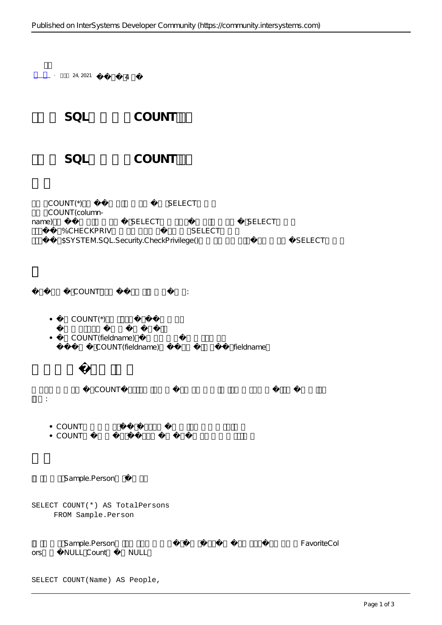$+$  24, 2021  $+$  4 **第四章 SQL聚合函数 COUNT(二)** SQL COUNT COUNT(\*) SELECT COUNT(columnname),必须对指定的列具有列级的SELECT权限,或者对指定的表具有表级的SELECT权限。 % CHECKPRIV SELECT \$SYSTEM.SQL.Security.CheckPrivilege() SELECT COUNT the count of the country of the country of the country of the country of the country of the country of the country of the country of the country of the country of the country of the country of the country of the coun  $COUNT(*)$  $\bullet$  $\bullet$ COUNT(fieldname) COUNT(fieldname) fieldname  $\sim$  COUNT 下所示: • COUNT • COUNT Sample.Person SELECT COUNT(\*) AS TotalPersons FROM Sample.Person

Sample.Person has been controlled by the Sample.Person has been controlled by the FavoriteCol ors NULL Count NULL

SELECT COUNT(Name) AS People,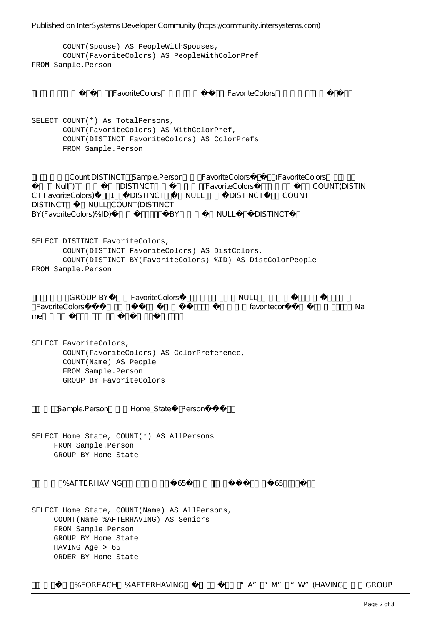COUNT(Spouse) AS PeopleWithSpouses, COUNT(FavoriteColors) AS PeopleWithColorPref FROM Sample.Person

FavoriteColors FavoriteColors

SELECT COUNT(\*) As TotalPersons, COUNT(FavoriteColors) AS WithColorPref, COUNT(DISTINCT FavoriteColors) AS ColorPrefs FROM Sample.Person

Count DISTINCT Sample.Person FavoriteColors (FavoriteColors Null) DISTINCT FavoriteColors COUNT(DISTIN CT FavoriteColors) 1 DISTINCT NULL DISTINCT COUNT DISTINCT NULL COUNT(DISTINCT BY(FavoriteColors)%ID) BY NULL DISTINCT

SELECT DISTINCT FavoriteColors, COUNT(DISTINCT FavoriteColors) AS DistColors, COUNT(DISTINCT BY(FavoriteColors) %ID) AS DistColorPeople FROM Sample.Person

| GROUP BY       | <b>FavoriteColors</b> | NULL        |    |
|----------------|-----------------------|-------------|----|
| EavoriteColors |                       | favoritecor | Na |
| me             |                       |             |    |

SELECT FavoriteColors, COUNT(FavoriteColors) AS ColorPreference, COUNT(Name) AS People FROM Sample.Person GROUP BY FavoriteColors

Sample.Person Home\_State Person

SELECT Home\_State, COUNT(\*) AS AllPersons FROM Sample.Person GROUP BY Home\_State

## %AFTERHAVING 65

SELECT Home State, COUNT(Name) AS AllPersons, COUNT(Name %AFTERHAVING) AS Seniors FROM Sample.Person GROUP BY Home\_State HAVING Age > 65 ORDER BY Home\_State

 $%$ FOREACH %AFTERHAVING  $*$ A" "M" "W"(HAVING GROUP

Page 2 of 3